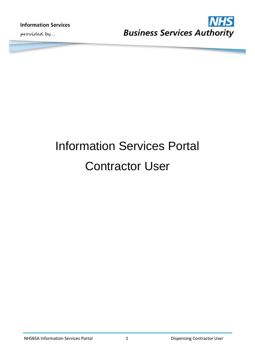**Information Services** 

provided by...



# Information Services Portal Contractor User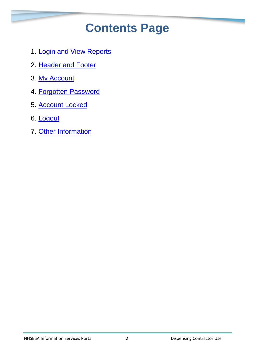# **Contents Page**

- 1. Login [and View Reports](#page-2-0)
- 2. [Header and Footer](#page-5-0)
- 3. [My Account](#page-7-0)
- 4. [Forgotten Password](#page-8-0)
- 5. [Account Locked](#page-9-0)
- 6. [Logout](#page-11-0)
- 7. [Other Information](#page-11-1)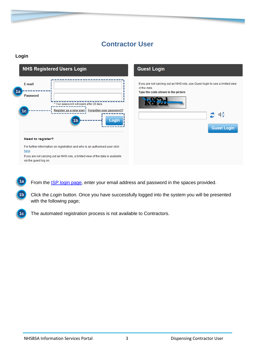# **Contractor User**

#### <span id="page-2-0"></span>**Login**



From the **ISP login page**, enter your email address and password in the spaces provided. **1a**

Click the *Login* button. Once you have successfully logged into the system you will be presented with the following page; **1b**



The automated registration process is not available to Contractors.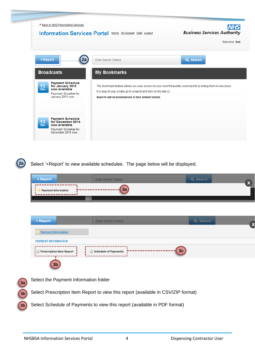

**2a**

**b**

Select '+Report' to view available schedules. The page below will be displayed.

| + Report                              | Enter Search Criteria                  | Q Search | x                         |
|---------------------------------------|----------------------------------------|----------|---------------------------|
| <b>Payment Information</b>            | 3a                                     |          |                           |
|                                       |                                        |          |                           |
|                                       |                                        |          |                           |
| + Report                              | Enter Search Criteria                  | Q Search | $\boldsymbol{\mathsf{x}}$ |
| <b>Payment Information</b>            |                                        |          |                           |
| <b>PAYMENT INFORMATION</b>            |                                        |          |                           |
| <b>Prescription Item Report</b><br>i⊟ | 3c<br><b>Schedule of Payments</b><br>E |          |                           |
| 3 <sub>b</sub>                        |                                        |          |                           |

Select the Payment Information folder Select Prescription Item Report to view this report (available in CSV/ZIP format) Select Schedule of Payments to view this report (available in PDF format) **3a 3b b 3b**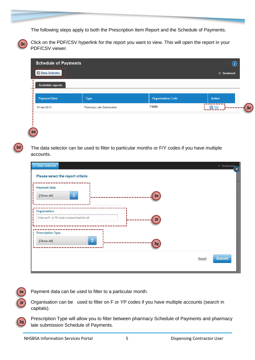The following steps apply to both the Prescription Item Report and the Schedule of Payments.



Click on the PDF/CSV hyperlink for the report you want to view. This will open the report in your PDF/CSV viewer.

| <b>Schedule of Payments</b>                        |                          |                          | $\bm{ \left( i \right)}$ |
|----------------------------------------------------|--------------------------|--------------------------|--------------------------|
| ----------<br><b>A Data Selector</b><br>---------- |                          |                          | ☆ Bookmark               |
| <b>Available reports</b>                           |                          |                          |                          |
| <b>Payment Date</b>                                | <b>Type</b>              | <b>Organisation Code</b> | <b>Action</b>            |
| 01-Apr-2015                                        | Pharmacy Late Submission | F9999                    | ______<br>(S) PDF        |

**3d**

**3d**

The data selector can be used to filter to particular months or F/Y codes if you have multiple accounts.

| <b>Payment Date</b>                           |           |       |               |
|-----------------------------------------------|-----------|-------|---------------|
| $\div$<br>[Show all]                          | 3e        |       |               |
| Organisation                                  |           |       |               |
| Enter an F- or YP-code or leave blank for all | 3f        |       |               |
| <b>Prescription Type</b>                      |           |       |               |
| $\div$<br>[Show all]                          | <b>3g</b> |       |               |
|                                               |           | Reset | <b>Submit</b> |



**b**

Payment data can be used to filter to a particular month.

Organisation can be used to filter on F or YP codes if you have multiple accounts (search in capitals).

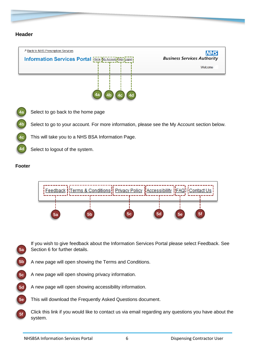#### <span id="page-5-0"></span>**Header**



Select to go back to the home page **4a**

Select to go to your account. For more information, please see the My Account section below. **4b**

This will take you to a NHS BSA Information Page. **4c**

Select to logout of the system.

#### **Footer**

**4d**



- If you wish to give feedback about the Information Services Portal please select Feedback. See Section 6 for further details. **5a**
- A new page will open showing the Terms and Conditions. **5b**
- A new page will open showing privacy information. **5c**
- A new page will open showing accessibility information. **5d**
- This will download the Frequently Asked Questions document. **5e**
- Click this link if you would like to contact us via email regarding any questions you have about the system. **5f**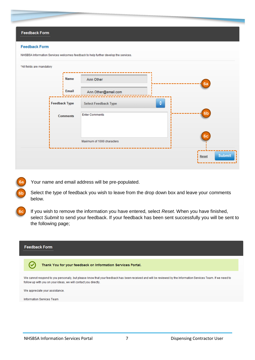|  | <b>Feedback Form</b> |
|--|----------------------|
|  |                      |

#### **Feedback Form**

**6a**

**6b**

| <i>i</i> Name   | Ann Other                        | 6a             |
|-----------------|----------------------------------|----------------|
| Email           | Ann.Other@email.com              |                |
| Feedback Type   | ÷<br><b>Select Feedback Type</b> |                |
| <b>Comments</b> | <b>Enter Comments</b>            | 6 <sub>b</sub> |
|                 | Maximum of 1000 characters       | 6c             |
|                 |                                  |                |

NHSBSA Information Services welcomes feedback to help further develop the service

Your name and email address will be pre-populated.

Select the type of feedback you wish to leave from the drop down box and leave your comments below.

If you wish to remove the information you have entered, select *Reset*. When you have finished, select *Submit* to send your feedback. If your feedback has been sent successfully you will be sent to the following page; **6c**

| <b>Feedback Form</b>                                                                                                                                                                                                              |
|-----------------------------------------------------------------------------------------------------------------------------------------------------------------------------------------------------------------------------------|
| Thank You for your feedback on Information Services Portal.                                                                                                                                                                       |
| We cannot respond to you personally, but please know that your feedback has been received and will be reviewed by the Information Services Team. If we need to<br>follow up with you on your ideas, we will contact you directly. |
| We appreciate your assistance.                                                                                                                                                                                                    |
| Information Services Team                                                                                                                                                                                                         |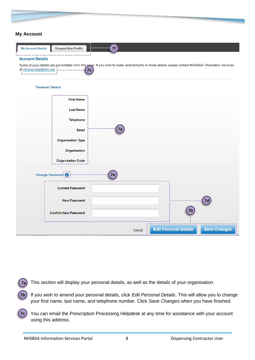#### <span id="page-7-0"></span>**My Account**

| 7f<br><b>My Account Details</b><br><b>Request New Profile</b><br>-------<br><b>Account Details</b>                                                                               |
|----------------------------------------------------------------------------------------------------------------------------------------------------------------------------------|
| Some of your details are not editable from this page. If you wish to make amendments to these details please contact NHSBSA Information Services<br>at nhsbsa.help@nhs.net<br>7c |
| <b>Personal Details</b>                                                                                                                                                          |
| <b>First Name</b>                                                                                                                                                                |
| <b>Last Name</b>                                                                                                                                                                 |

| <b>Last Name</b>            |        |                              |                     |
|-----------------------------|--------|------------------------------|---------------------|
| <b>Telephone</b>            |        |                              |                     |
| Email                       | 7a     |                              |                     |
| <b>Organisation Type</b>    |        |                              |                     |
| Organisation                |        |                              |                     |
| <b>Organisation Code</b>    |        |                              |                     |
| Change Password!            | 7e     |                              |                     |
| <b>Current Password</b>     |        |                              |                     |
| <b>New Password</b>         |        |                              | 7d                  |
| <b>Confirm New Password</b> |        | 7b                           |                     |
|                             | Cancel | <b>Edit Personal Details</b> | <b>Save Changes</b> |

- This section will display your personal details, as well as the details of your organisation. **7a**
- If you wish to amend your personal details, click *Edit Personal Details*. This will allow you to change your first name, last name, and telephone number. Click *Save Changes* when you have finished. **7b**
- You can email the Prescription Processing Helpdesk at any time for assistance with your account using this address. **7c**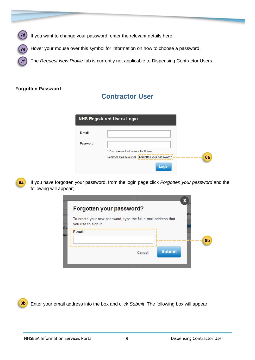

Hover your mouse over this symbol for information on how to choose a password. **7e**

The *Request New Profile* tab is currently not applicable to Dispensing Contractor Users.

#### <span id="page-8-0"></span>**Forgotten Password**

**7f**

## **Contractor User**

|                 | <b>NHS Registered Users Login</b>                                                                                  |
|-----------------|--------------------------------------------------------------------------------------------------------------------|
| <b>F-mail</b>   |                                                                                                                    |
| <b>Password</b> | * Your password will expire after 28 days<br>8a<br>Register as a new user<br>Forgotten your password?<br>_________ |
|                 | Login                                                                                                              |

**8a**

If you have forgotten your password, from the login page click *Forgotten your password* and the following will appear;

|     | Forgotten your password?                                                              |               |    |
|-----|---------------------------------------------------------------------------------------|---------------|----|
| d v | To create your new password, type the full e-mail address that<br>you use to sign in. |               |    |
| ne  | E-mail                                                                                |               |    |
|     |                                                                                       |               | 8b |
|     | Cancel                                                                                | <b>Submit</b> |    |
|     |                                                                                       |               |    |

Enter your email address into the box and click *Submit*. The following box will appear; **8b**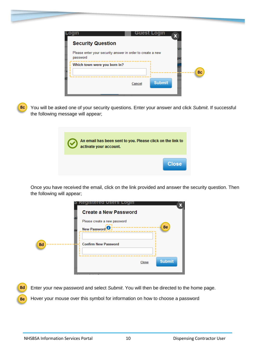| <b>Security Question</b>                                               |               |    |
|------------------------------------------------------------------------|---------------|----|
| Please enter your security answer in order to create a new<br>password |               |    |
| Which town were you born in?                                           |               |    |
|                                                                        |               | 8c |
| Cancel                                                                 | <b>Submit</b> |    |
|                                                                        |               |    |

You will be asked one of your security questions. Enter your answer and click *Submit*. If successful the following message will appear; **8c**

| An email has been sent to you. Please click on the link to<br>activate your account. |              |
|--------------------------------------------------------------------------------------|--------------|
|                                                                                      | <b>Close</b> |

Once you have received the email, click on the link provided and answer the security question. Then the following will appear;

|    | <b>Create a New Password</b>                        |               |
|----|-----------------------------------------------------|---------------|
|    | Please create a new password<br><b>New Password</b> | 8e            |
| 8d | <b>Confirm New Password</b>                         |               |
|    |                                                     |               |
|    | Close                                               | <b>Submit</b> |
|    |                                                     |               |

<span id="page-9-0"></span>Enter your new password and select *Submit*. You will then be directed to the home page. Hover your mouse over this symbol for information on how to choose a password **8d 8e**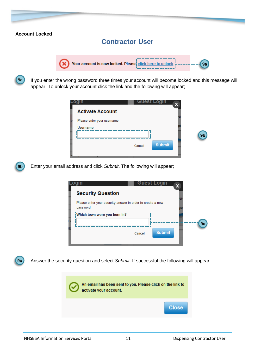#### **Account Locked**

### **Contractor User**



**9a**

**9c**

If you enter the wrong password three times your account will become locked and this message will appear. To unlock your account click the link and the following will appear;



Enter your email address and click *Submit*. The following will appear; **9b**



Answer the security question and select *Submit*. If successful the following will appear;